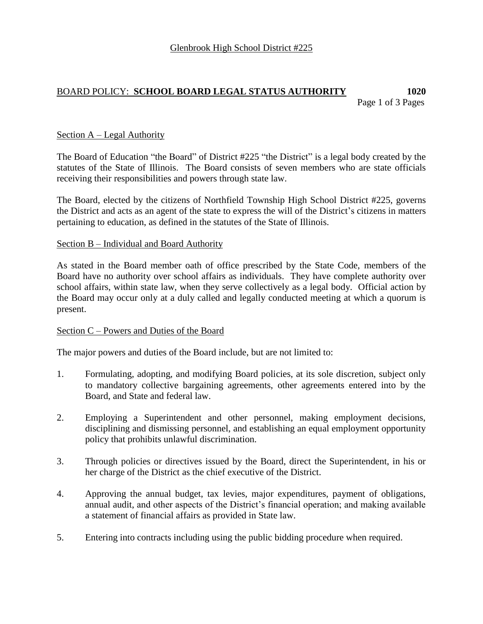# BOARD POLICY: **SCHOOL BOARD LEGAL STATUS AUTHORITY 1020**

Page 1 of 3 Pages

# Section A – Legal Authority

The Board of Education "the Board" of District #225 "the District" is a legal body created by the statutes of the State of Illinois. The Board consists of seven members who are state officials receiving their responsibilities and powers through state law.

The Board, elected by the citizens of Northfield Township High School District #225, governs the District and acts as an agent of the state to express the will of the District's citizens in matters pertaining to education, as defined in the statutes of the State of Illinois.

### Section B – Individual and Board Authority

As stated in the Board member oath of office prescribed by the State Code, members of the Board have no authority over school affairs as individuals. They have complete authority over school affairs, within state law, when they serve collectively as a legal body. Official action by the Board may occur only at a duly called and legally conducted meeting at which a quorum is present.

### Section C – Powers and Duties of the Board

The major powers and duties of the Board include, but are not limited to:

- 1. Formulating, adopting, and modifying Board policies, at its sole discretion, subject only to mandatory collective bargaining agreements, other agreements entered into by the Board, and State and federal law.
- 2. Employing a Superintendent and other personnel, making employment decisions, disciplining and dismissing personnel, and establishing an equal employment opportunity policy that prohibits unlawful discrimination.
- 3. Through policies or directives issued by the Board, direct the Superintendent, in his or her charge of the District as the chief executive of the District.
- 4. Approving the annual budget, tax levies, major expenditures, payment of obligations, annual audit, and other aspects of the District's financial operation; and making available a statement of financial affairs as provided in State law.
- 5. Entering into contracts including using the public bidding procedure when required.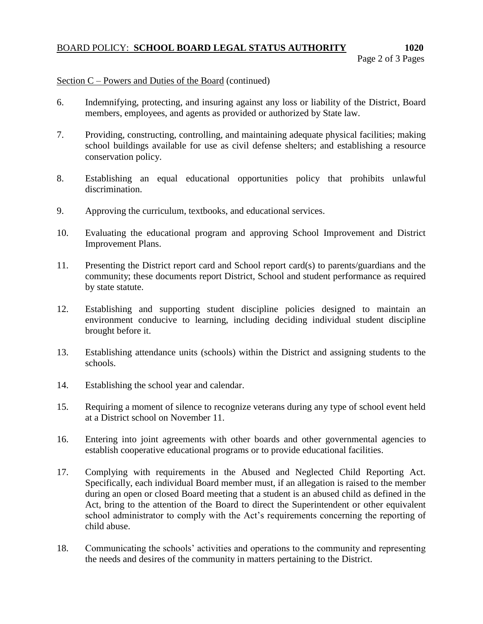# BOARD POLICY: **SCHOOL BOARD LEGAL STATUS AUTHORITY 1020**

## Section C – Powers and Duties of the Board (continued)

- 6. Indemnifying, protecting, and insuring against any loss or liability of the District, Board members, employees, and agents as provided or authorized by State law.
- 7. Providing, constructing, controlling, and maintaining adequate physical facilities; making school buildings available for use as civil defense shelters; and establishing a resource conservation policy.
- 8. Establishing an equal educational opportunities policy that prohibits unlawful discrimination.
- 9. Approving the curriculum, textbooks, and educational services.
- 10. Evaluating the educational program and approving School Improvement and District Improvement Plans.
- 11. Presenting the District report card and School report card(s) to parents/guardians and the community; these documents report District, School and student performance as required by state statute.
- 12. Establishing and supporting student discipline policies designed to maintain an environment conducive to learning, including deciding individual student discipline brought before it.
- 13. Establishing attendance units (schools) within the District and assigning students to the schools.
- 14. Establishing the school year and calendar.
- 15. Requiring a moment of silence to recognize veterans during any type of school event held at a District school on November 11.
- 16. Entering into joint agreements with other boards and other governmental agencies to establish cooperative educational programs or to provide educational facilities.
- 17. Complying with requirements in the Abused and Neglected Child Reporting Act. Specifically, each individual Board member must, if an allegation is raised to the member during an open or closed Board meeting that a student is an abused child as defined in the Act, bring to the attention of the Board to direct the Superintendent or other equivalent school administrator to comply with the Act's requirements concerning the reporting of child abuse.
- 18. Communicating the schools' activities and operations to the community and representing the needs and desires of the community in matters pertaining to the District.